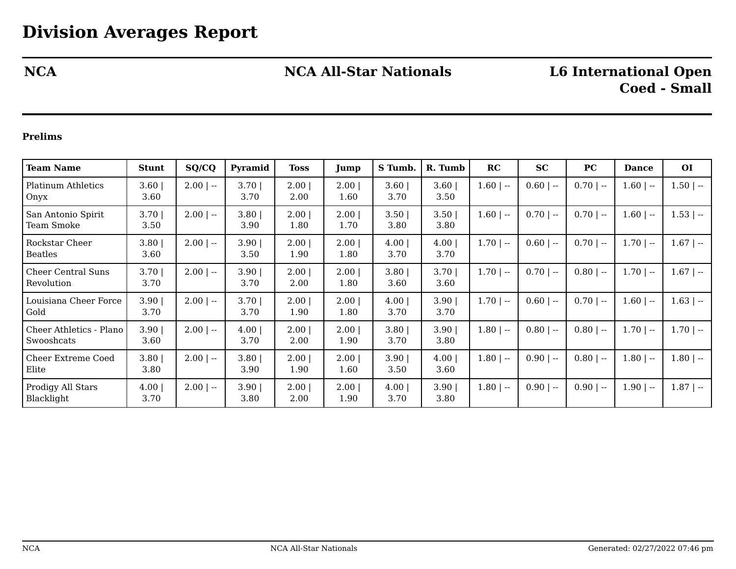# **NCA NCA All-Star Nationals L6 International Open**

# **Coed - Small**

## **Prelims**

| Team Name                             | <b>Stunt</b> | SQ/CQ       | Pyramid          | Toss         | Jump          | S Tumb.                   | R. Tumb      | RC           | <b>SC</b>   | PC          | <b>Dance</b> | <b>OI</b>    |
|---------------------------------------|--------------|-------------|------------------|--------------|---------------|---------------------------|--------------|--------------|-------------|-------------|--------------|--------------|
| <b>Platinum Athletics</b><br>Onyx     | 3.60<br>3.60 | $2.00$   -- | 3.701<br>3.70    | 2.00<br>2.00 | 2.001<br>1.60 | 3.60<br>3.70              | 3.60<br>3.50 | $1.60$   --  | $0.60$   -- | $0.70$   -- | $1.60$   --  | $1.50$   $-$ |
| San Antonio Spirit<br>Team Smoke      | 3.70<br>3.50 | $2.00$   -- | $3.80$  <br>3.90 | 2.00<br>1.80 | 2.00<br>1.70  | 3.50<br>3.80              | 3.50<br>3.80 | $1.60$   --  | $0.70$   -- | $0.70$   -- | $1.60$   --  | $1.53$   $-$ |
| Rockstar Cheer<br><b>Beatles</b>      | 3.80<br>3.60 | $2.00$   -- | 3.90<br>3.50     | 2.00<br>1.90 | 2.00<br>1.80  | 4.00 <br>3.70             | 4.00<br>3.70 | $1.70$   $-$ | $0.60$   -- | $0.70$   -- | $1.70$   $-$ | $1.67$   --  |
| Cheer Central Suns<br>Revolution      | 3.70<br>3.70 | $2.00$   -- | 3.90<br>3.70     | 2.00<br>2.00 | 2.00<br>1.80  | 3.80<br>3.60              | 3.70<br>3.60 | $1.70$   --  | $0.70$   -- | $0.80$   -- | $1.70$   $-$ | $1.67$   --  |
| Louisiana Cheer Force<br>Gold         | 3.90<br>3.70 | $2.00$   -- | 3.701<br>3.70    | 2.00<br>1.90 | 2.001<br>1.80 | 4.00 <sub>1</sub><br>3.70 | 3.90<br>3.70 | $1.70$   $-$ | $0.60$   -- | $0.70$   -- | $1.60$   --  | $1.63$   $-$ |
| Cheer Athletics - Plano<br>Swooshcats | 3.90<br>3.60 | $2.00$   -- | 4.00 <br>3.70    | 2.00<br>2.00 | 2.00<br>1.90  | 3.80<br>3.70              | 3.90<br>3.80 | $1.80$   --  | $0.80$   -- | $0.80$   -- | $1.70$   --  | $1.70$   $-$ |
| <b>Cheer Extreme Coed</b><br>Elite    | 3.80<br>3.80 | $2.00$   -- | 3.80<br>3.90     | 2.00<br>1.90 | 2.00<br>1.60  | 3.90<br>3.50              | 4.00<br>3.60 | $1.80$   --  | $0.90$   -- | $0.80$   -- | $1.80$   --  | $1.80$   --  |
| Prodigy All Stars<br>Blacklight       | 4.00<br>3.70 | $2.00$   -- | 3.90<br>3.80     | 2.00<br>2.00 | 2.00<br>1.90  | 4.00<br>3.70              | 3.90<br>3.80 | $1.80$   --  | $0.90$   -- | $0.90$   -- | $1.90$   --  | $1.87$   --  |